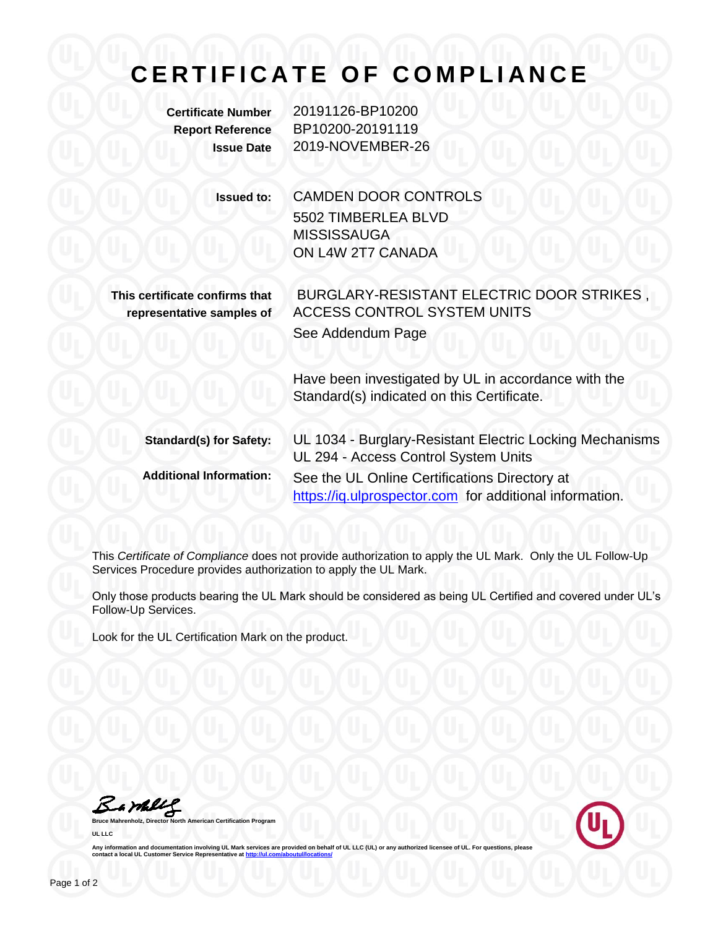## **C E R T I F I C A T E O F C O M P L I A N C E**

**Certificate Number** 20191126-BP10200 **Report Reference** BP10200-20191119 **Issue Date** 2019-NOVEMBER-26

> **Issued to:** CAMDEN DOOR CONTROLS 5502 TIMBERLEA BLVD **MISSISSAUGA** ON L4W 2T7 CANADA

**This certificate confirms that representative samples of**

BURGLARY-RESISTANT ELECTRIC DOOR STRIKES , ACCESS CONTROL SYSTEM UNITS See Addendum Page

Have been investigated by UL in accordance with the Standard(s) indicated on this Certificate.

**Standard(s) for Safety:** UL 1034 - Burglary-Resistant Electric Locking Mechanisms UL 294 - Access Control System Units **Additional Information:** See the UL Online Certifications Directory at https://iq.ulprospector.com for additional information.

This *Certificate of Compliance* does not provide authorization to apply the UL Mark. Only the UL Follow-Up Services Procedure provides authorization to apply the UL Mark.

Only those products bearing the UL Mark should be considered as being UL Certified and covered under UL's Follow-Up Services.

Look for the UL Certification Mark on the product.

Bambly

**Bruce Mahrenholz, Director North American Certification Program UL LLC**



Any information and documentation involving UL Mark services are provided on behalf of UL LLC (UL) or any authorized licensee of UL. For questions, please<br>contact a local UL Customer Service Representative at <u>http://ul.co</u>